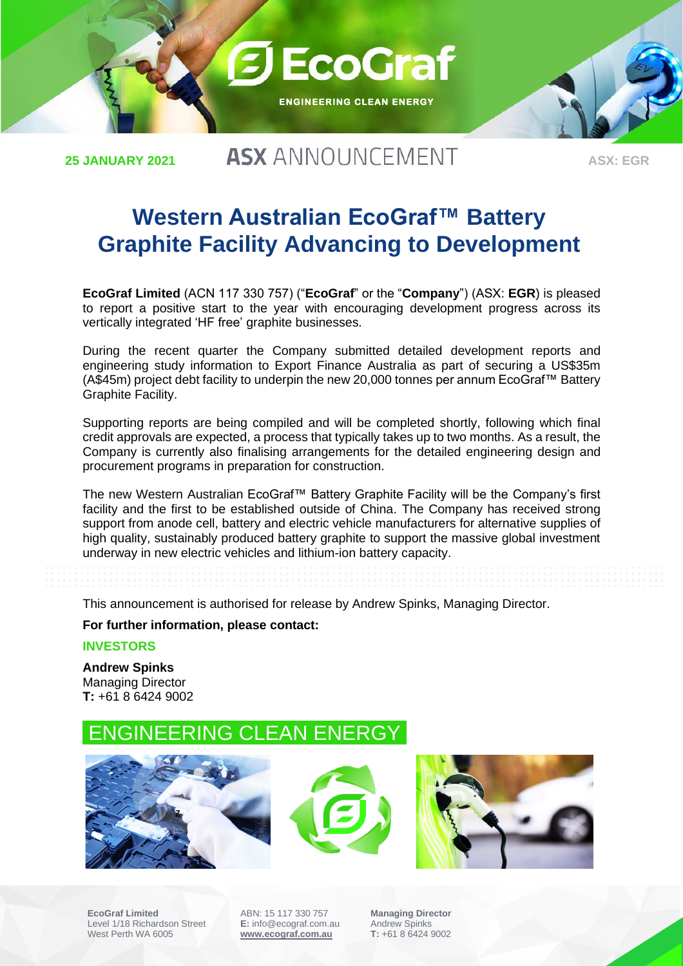

**25 JANUARY 2021**

## **ASX ANNOUNCEMENT**

**ASX: EGR**

## **Western Australian EcoGraf™ Battery Graphite Facility Advancing to Development**

**EcoGraf Limited** (ACN 117 330 757) ("**EcoGraf**" or the "**Company**") (ASX: **EGR**) is pleased to report a positive start to the year with encouraging development progress across its vertically integrated 'HF free' graphite businesses.

During the recent quarter the Company submitted detailed development reports and engineering study information to Export Finance Australia as part of securing a US\$35m (A\$45m) project debt facility to underpin the new 20,000 tonnes per annum EcoGraf™ Battery Graphite Facility.

Supporting reports are being compiled and will be completed shortly, following which final credit approvals are expected, a process that typically takes up to two months. As a result, the Company is currently also finalising arrangements for the detailed engineering design and procurement programs in preparation for construction.

The new Western Australian EcoGraf™ Battery Graphite Facility will be the Company's first facility and the first to be established outside of China. The Company has received strong support from anode cell, battery and electric vehicle manufacturers for alternative supplies of high quality, sustainably produced battery graphite to support the massive global investment underway in new electric vehicles and lithium-ion battery capacity.

This announcement is authorised for release by Andrew Spinks, Managing Director.

**For further information, please contact:**

**INVESTORS**

**Andrew Spinks**  Managing Director **T:** +61 8 6424 9002

## ENGINEERING CLEAN ENERGY







**EcoGraf Limited** Level 1/18 Richardson Street West Perth WA 6005

ABN: 15 117 330 757 **E:** info@ecograf.com.au **[www.ecograf.com.au](http://www.ecograf.com.au/)**

**Managing Director** Andrew Spinks **T:** +61 8 6424 9002